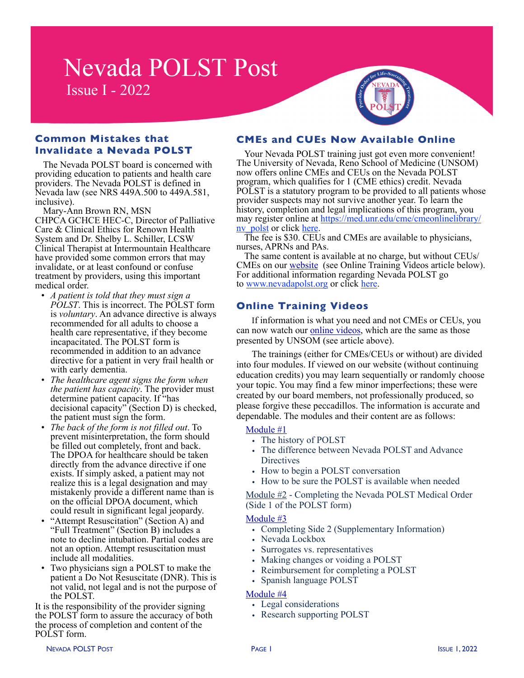# **Nevada POLST Post** Issue I - 2022



### **Common Mistakes that Invalidate a Nevada POLST**

The Nevada POLST board is concerned with providing education to patients and health care providers. The Nevada POLST is defined in Nevada law (see NRS 449A.500 to 449A.581, inclusive).

Mary-Ann Brown RN, MSN CHPCA GCHCE HEC-C, Director of Palliative Care & Clinical Ethics for Renown Health System and Dr. Shelby L. Schiller, LCSW Clinical Therapist at Intermountain Healthcare have provided some common errors that may invalidate, or at least confound or confuse treatment by providers, using this important medical order.

- *A patient is told that they must sign a POLST*. This is incorrect. The POLST form is *voluntary*. An advance directive is always recommended for all adults to choose a health care representative, if they become incapacitated. The POLST form is recommended in addition to an advance directive for a patient in very frail health or with early dementia.
- *The healthcare agent signs the form when the patient has capacity*. The provider must determine patient capacity. If "has decisional capacity" (Section D) is checked, the patient must sign the form.
- *The back of the form is not filled out*. To prevent misinterpretation, the form should be filled out completely, front and back. The DPOA for healthcare should be taken directly from the advance directive if one exists. If simply asked, a patient may not realize this is a legal designation and may mistakenly provide a different name than is on the official DPOA document, which could result in significant legal jeopardy.
- "Attempt Resuscitation" (Section A) and "Full Treatment" (Section B) includes a note to decline intubation. Partial codes are not an option. Attempt resuscitation must include all modalities.
- Two physicians sign a POLST to make the patient a Do Not Resuscitate (DNR). This is not valid, not legal and is not the purpose of the POLST.

It is the responsibility of the provider signing the POLST form to assure the accuracy of both the process of completion and content of the POLST form.

## **CMEs and CUEs Now Available Online**

Your Nevada POLST training just got even more convenient! The University of Nevada, Reno School of Medicine (UNSOM) now offers online CMEs and CEUs on the Nevada POLST program, which qualifies for 1 (CME ethics) credit. Nevada POLST is a statutory program to be provided to all patients whose provider suspects may not survive another year. To learn the history, completion and legal implications of this program, you may register online at [https://med.unr.edu/cme/cmeonlinelibrary/](https://na01.safelinks.protection.outlook.com/?url=https%3A%2F%2Fmed.unr.edu%2Fcme%2Fcmeonlinelibrary%2Fnv_polst&data=04%7C01%7C%7C61d6fa0570cd4c6ac1c208d9e2adea0f%7C84df9e7fe9f640afb435aaaaaaaaaaaa%7C1%7C0%7C637790058843979161%7CUnknown%7CTWFpbGZsb3d8eyJWIjoiMC4wLjAwMDAiLCJQIjoiV2luMzIiLCJBTiI6Ik1haWwiLCJXVCI6Mn0%3D%7C3000&sdata=rCrxcKVXdSRTUHLrbyFBqd4RRIkhHiQnYTfPWCL4yaw%3D&reserved=0)

 $\frac{nv\text{ }\text{ }polst}{n}$  or click [here.](https://na01.safelinks.protection.outlook.com/?url=https%3A%2F%2Fmed.unr.edu%2Fcme%2Fcmeonlinelibrary%2Fnv_polst&data=04%7C01%7C%7C61d6fa0570cd4c6ac1c208d9e2adea0f%7C84df9e7fe9f640afb435aaaaaaaaaaaa%7C1%7C0%7C637790058843979161%7CUnknown%7CTWFpbGZsb3d8eyJWIjoiMC4wLjAwMDAiLCJQIjoiV2luMzIiLCJBTiI6Ik1haWwiLCJXVCI6Mn0%3D%7C3000&sdata=rCrxcKVXdSRTUHLrbyFBqd4RRIkhHiQnYTfPWCL4yaw%3D&reserved=0) The fee is \$30. CEUs and CMEs are available to physicians, nurses, APRNs and PAs.

The same content is available at no charge, but without CEUs/ CMEs on our [website](https://www.nevadapolst.org/training-videos) (see Online Training Videos article below). For additional information regarding Nevada POLST go to [www.nevadapolst.org](https://na01.safelinks.protection.outlook.com/?url=http%3A%2F%2Fwww.nevadapolst.org%2F&data=04%7C01%7C%7C61d6fa0570cd4c6ac1c208d9e2adea0f%7C84df9e7fe9f640afb435aaaaaaaaaaaa%7C1%7C0%7C637790058843979161%7CUnknown%7CTWFpbGZsb3d8eyJWIjoiMC4wLjAwMDAiLCJQIjoiV2luMzIiLCJBTiI6Ik1haWwiLCJXVCI6Mn0%3D%7C3000&sdata=tHd%2FofwF3VYLn7CzGqCwrsUrnS10ZftjwGJ6Be76qtQ%3D&reserved=0) or click [here.](https://na01.safelinks.protection.outlook.com/?url=http%3A%2F%2Fwww.nevadapolst.org%2F&data=04%7C01%7C%7C61d6fa0570cd4c6ac1c208d9e2adea0f%7C84df9e7fe9f640afb435aaaaaaaaaaaa%7C1%7C0%7C637790058843979161%7CUnknown%7CTWFpbGZsb3d8eyJWIjoiMC4wLjAwMDAiLCJQIjoiV2luMzIiLCJBTiI6Ik1haWwiLCJXVCI6Mn0%3D%7C3000&sdata=tHd%2FofwF3VYLn7CzGqCwrsUrnS10ZftjwGJ6Be76qtQ%3D&reserved=0)

## **Online Training Videos**

If information is what you need and not CMEs or CEUs, you can now watch our [online videos](http://www.nevadapolst.org/training-videos), which are the same as those presented by UNSOM (see article above).

The trainings (either for CMEs/CEUs or without) are divided into four modules. If viewed on our website (without continuing education credits) you may learn sequentially or randomly choose your topic. You may find a few minor imperfections; these were created by our board members, not professionally produced, so please forgive these peccadillos. The information is accurate and dependable. The modules and their content are as follows:

#### [Module #1](https://www.nevadapolst.org/module-1)

- **•** The history of POLST
- **•** The difference between Nevada POLST and Advance **Directives**
- **•** How to begin a POLST conversation
- **•** How to be sure the POLST is available when needed

[Module #2](https://www.nevadapolst.org/module-2) - Completing the Nevada POLST Medical Order (Side 1 of the POLST form)

#### [Module #3](https://www.nevadapolst.org/module-3)

- **•** Completing Side 2 (Supplementary Information)
- Nevada Lockbox
- **•** Surrogates vs. representatives
- Making changes or voiding a POLST
- **•** Reimbursement for completing a POLST
- **•** Spanish language POLST

#### [Module #4](https://www.nevadapolst.org/module-4)

- **•** Legal considerations
- **•** Research supporting POLST